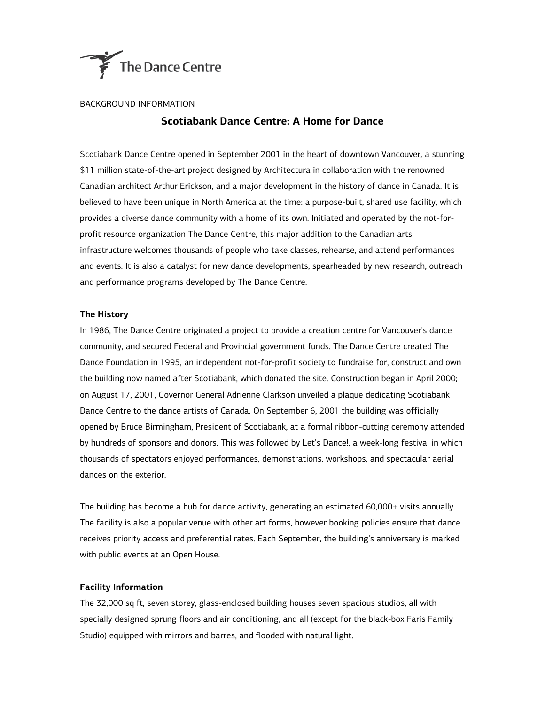

## BACKGROUND INFORMATION

# **Scotiabank Dance Centre: A Home for Dance**

Scotiabank Dance Centre opened in September 2001 in the heart of downtown Vancouver, a stunning \$11 million state-of-the-art project designed by Architectura in collaboration with the renowned Canadian architect Arthur Erickson, and a major development in the history of dance in Canada. It is believed to have been unique in North America at the time: a purpose-built, shared use facility, which provides a diverse dance community with a home of its own. Initiated and operated by the not-forprofit resource organization The Dance Centre, this major addition to the Canadian arts infrastructure welcomes thousands of people who take classes, rehearse, and attend performances and events. It is also a catalyst for new dance developments, spearheaded by new research, outreach and performance programs developed by The Dance Centre.

### **The History**

In 1986, The Dance Centre originated a project to provide a creation centre for Vancouver's dance community, and secured Federal and Provincial government funds. The Dance Centre created The Dance Foundation in 1995, an independent not-for-profit society to fundraise for, construct and own the building now named after Scotiabank, which donated the site. Construction began in April 2000; on August 17, 2001, Governor General Adrienne Clarkson unveiled a plaque dedicating Scotiabank Dance Centre to the dance artists of Canada. On September 6, 2001 the building was officially opened by Bruce Birmingham, President of Scotiabank, at a formal ribbon-cutting ceremony attended by hundreds of sponsors and donors. This was followed by Let's Dance!, a week-long festival in which thousands of spectators enjoyed performances, demonstrations, workshops, and spectacular aerial dances on the exterior.

The building has become a hub for dance activity, generating an estimated 60,000+ visits annually. The facility is also a popular venue with other art forms, however booking policies ensure that dance receives priority access and preferential rates. Each September, the building's anniversary is marked with public events at an Open House.

# **Facility Information**

The 32,000 sq ft, seven storey, glass-enclosed building houses seven spacious studios, all with specially designed sprung floors and air conditioning, and all (except for the black-box Faris Family Studio) equipped with mirrors and barres, and flooded with natural light.